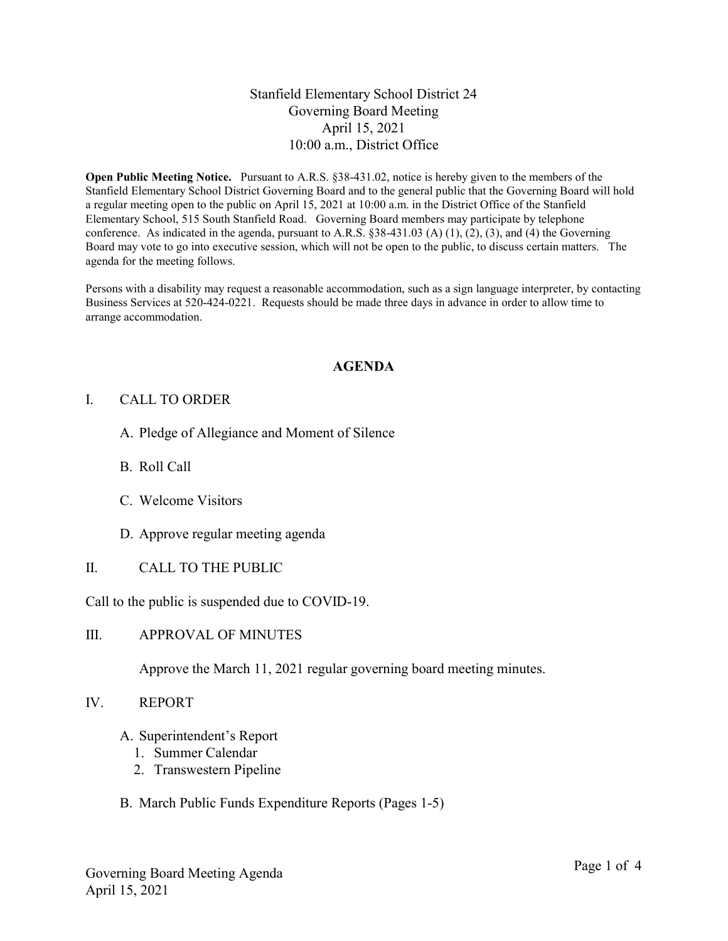# Stanfield Elementary School District 24 Governing Board Meeting April 15, 2021 10:00 a.m., District Office

Open Public Meeting Notice. Pursuant to A.R.S. §38-431.02, notice is hereby given to the members of the Stanfield Elementary School District Governing Board and to the general public that the Governing Board will hold a regular meeting open to the public on April 15, 2021 at 10:00 a.m. in the District Office of the Stanfield Elementary School, 515 South Stanfield Road. Governing Board members may participate by telephone conference. As indicated in the agenda, pursuant to A.R.S. §38-431.03 (A) (1), (2), (3), and (4) the Governing Board may vote to go into executive session, which will not be open to the public, to discuss certain matters. The agenda for the meeting follows.

Persons with a disability may request a reasonable accommodation, such as a sign language interpreter, by contacting Business Services at 520-424-0221. Requests should be made three days in advance in order to allow time to arrange accommodation.

#### AGENDA

#### I. CALL TO ORDER

- A. Pledge of Allegiance and Moment of Silence
- B. Roll Call
- C. Welcome Visitors
- D. Approve regular meeting agenda
- II. CALL TO THE PUBLIC

Call to the public is suspended due to COVID-19.

III. APPROVAL OF MINUTES

Approve the March 11, 2021 regular governing board meeting minutes.

- IV. REPORT
	- A. Superintendent's Report
		- 1. Summer Calendar
		- 2. Transwestern Pipeline
	- B. March Public Funds Expenditure Reports (Pages 1-5)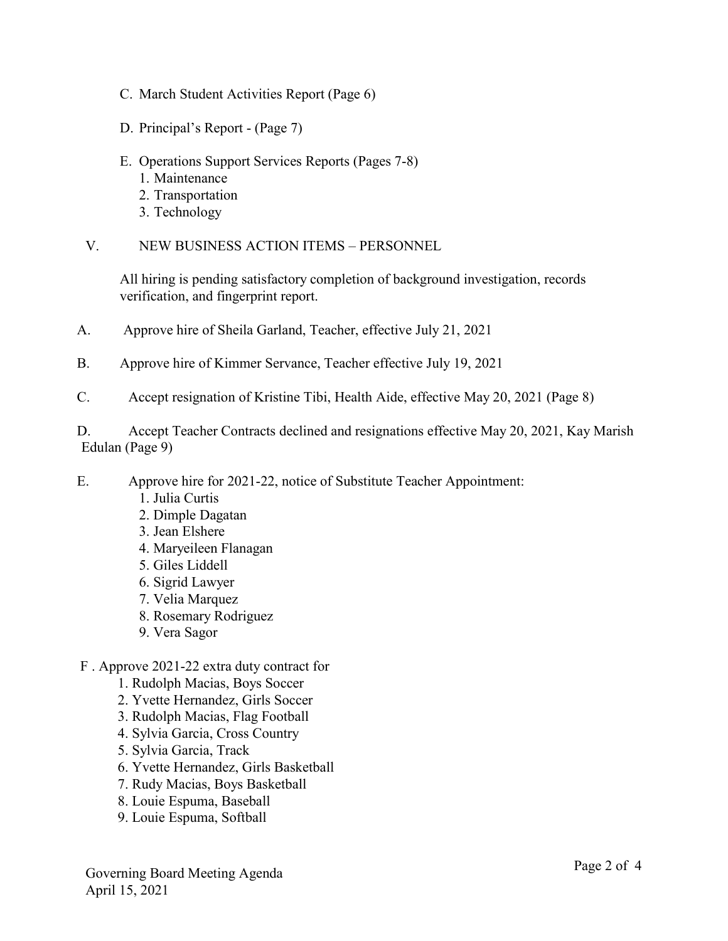- C. March Student Activities Report (Page 6)
- D. Principal's Report (Page 7)
- E. Operations Support Services Reports (Pages 7-8)
	- 1. Maintenance
	- 2. Transportation
	- 3. Technology
- V. NEW BUSINESS ACTION ITEMS PERSONNEL

All hiring is pending satisfactory completion of background investigation, records verification, and fingerprint report.

- A. Approve hire of Sheila Garland, Teacher, effective July 21, 2021
- B. Approve hire of Kimmer Servance, Teacher effective July 19, 2021
- C. Accept resignation of Kristine Tibi, Health Aide, effective May 20, 2021 (Page 8)

D. Accept Teacher Contracts declined and resignations effective May 20, 2021, Kay Marish Edulan (Page 9)

- E. Approve hire for 2021-22, notice of Substitute Teacher Appointment:
	- 1. Julia Curtis
	- 2. Dimple Dagatan
	- 3. Jean Elshere
	- 4. Maryeileen Flanagan
	- 5. Giles Liddell
	- 6. Sigrid Lawyer
	- 7. Velia Marquez
	- 8. Rosemary Rodriguez
	- 9. Vera Sagor
- F . Approve 2021-22 extra duty contract for
	- 1. Rudolph Macias, Boys Soccer
	- 2. Yvette Hernandez, Girls Soccer
	- 3. Rudolph Macias, Flag Football
	- 4. Sylvia Garcia, Cross Country
	- 5. Sylvia Garcia, Track
	- 6. Yvette Hernandez, Girls Basketball
	- 7. Rudy Macias, Boys Basketball
	- 8. Louie Espuma, Baseball
	- 9. Louie Espuma, Softball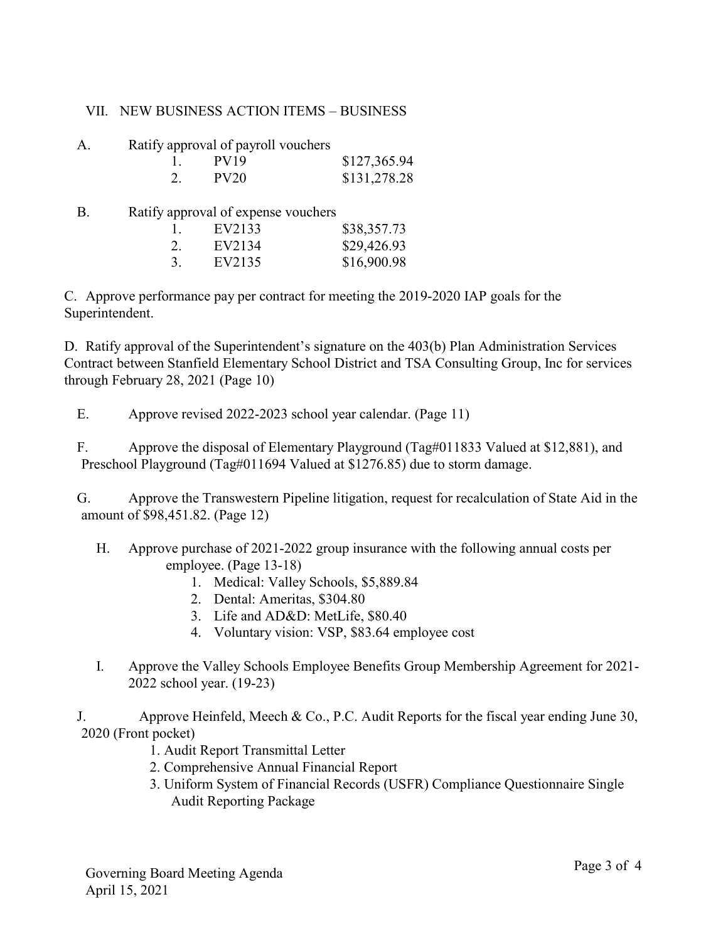# VII. NEW BUSINESS ACTION ITEMS – BUSINESS

| A. |  | Ratify approval of payroll vouchers |
|----|--|-------------------------------------|
|    |  |                                     |

|  | PV19        | \$127,365.94 |
|--|-------------|--------------|
|  | <b>PV20</b> | \$131,278.28 |

B. Ratify approval of expense vouchers

| 1. | EV2133 | \$38,357.73 |
|----|--------|-------------|
| 2. | EV2134 | \$29,426.93 |
| 3. | EV2135 | \$16,900.98 |

C. Approve performance pay per contract for meeting the 2019-2020 IAP goals for the Superintendent.

D. Ratify approval of the Superintendent's signature on the 403(b) Plan Administration Services Contract between Stanfield Elementary School District and TSA Consulting Group, Inc for services through February 28, 2021 (Page 10)

E. Approve revised 2022-2023 school year calendar. (Page 11)

F. Approve the disposal of Elementary Playground (Tag#011833 Valued at \$12,881), and Preschool Playground (Tag#011694 Valued at \$1276.85) due to storm damage.

G. Approve the Transwestern Pipeline litigation, request for recalculation of State Aid in the amount of \$98,451.82. (Page 12)

- H. Approve purchase of 2021-2022 group insurance with the following annual costs per employee. (Page 13-18)
	- 1. Medical: Valley Schools, \$5,889.84
	- 2. Dental: Ameritas, \$304.80
	- 3. Life and AD&D: MetLife, \$80.40
	- 4. Voluntary vision: VSP, \$83.64 employee cost
- I. Approve the Valley Schools Employee Benefits Group Membership Agreement for 2021- 2022 school year. (19-23)

J. Approve Heinfeld, Meech & Co., P.C. Audit Reports for the fiscal year ending June 30, 2020 (Front pocket)

- 1. Audit Report Transmittal Letter
- 2. Comprehensive Annual Financial Report
- 3. Uniform System of Financial Records (USFR) Compliance Questionnaire Single Audit Reporting Package